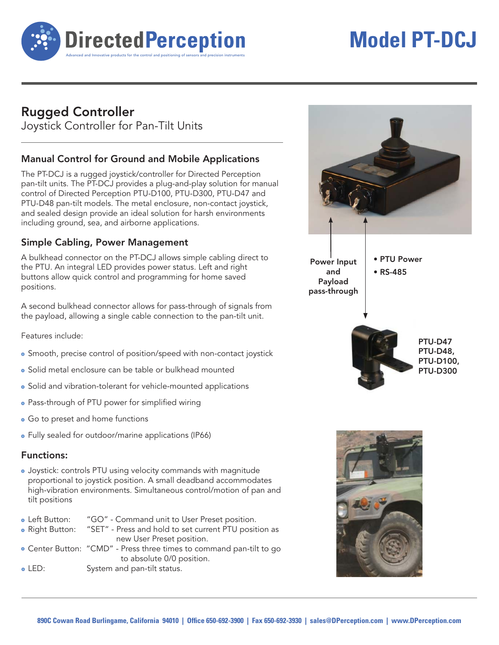

# **Model PT-DCJ**

# **Rugged Controller**

Joystick Controller for Pan-Tilt Units

## **Manual Control for Ground and Mobile Applications**

The PT-DCJ is a rugged joystick/controller for Directed Perception pan-tilt units. The PT-DCJ provides a plug-and-play solution for manual control of Directed Perception PTU-D100, PTU-D300, PTU-D47 and PTU-D48 pan-tilt models. The metal enclosure, non-contact joystick, and sealed design provide an ideal solution for harsh environments including ground, sea, and airborne applications.

## **Simple Cabling, Power Management**

A bulkhead connector on the PT-DCJ allows simple cabling direct to the PTU. An integral LED provides power status. Left and right buttons allow quick control and programming for home saved positions.

A second bulkhead connector allows for pass-through of signals from the payload, allowing a single cable connection to the pan-tilt unit.

Features include:

- Smooth, precise control of position/speed with non-contact joystick
- Solid metal enclosure can be table or bulkhead mounted
- Solid and vibration-tolerant for vehicle-mounted applications
- Pass-through of PTU power for simplified wiring
- Go to preset and home functions
- Fully sealed for outdoor/marine applications (IP66)

#### **Functions:**

 Joystick: controls PTU using velocity commands with magnitude proportional to joystick position. A small deadband accommodates high-vibration environments. Simultaneous control/motion of pan and tilt positions

| • Left Button: | "GO" - Command unit to User Preset position.                          |
|----------------|-----------------------------------------------------------------------|
|                | • Right Button: "SET" - Press and hold to set current PTU position as |
|                | new User Preset position.                                             |
|                | · Center Button: "CMD" - Press three times to command pan-tilt to go  |
|                | to absolute 0/0 position.                                             |
| $\circ$ LED:   | System and pan-tilt status.                                           |
|                |                                                                       |